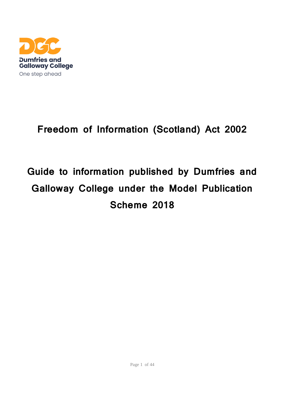

## **Freedom of Information (Scotland) Act 2002**

# **Guide to information published by Dumfries and Galloway College under the Model Publication Scheme 2018**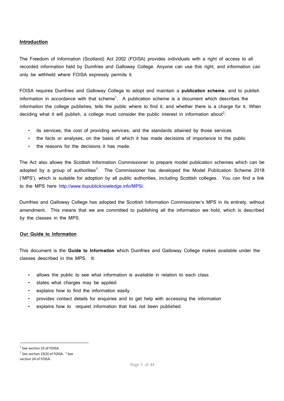#### **Introduction**

The Freedom of Information (Scotland) Act 2002 (FOISA) provides individuals with a right of access to all recorded information held by Dumfries and Galloway College. Anyone can use this right, and information can only be withheld where FOISA expressly permits it.

FOISA requires Dumfries and Galloway College to adopt and maintain a **publication scheme**, and to publish information in accordance with that scheme<sup>1</sup>. A publication scheme is a document which describes the information the college publishes, tells the public where to find it, and whether there is a charge for it. When deciding what it will publish, a college must consider the public interest in information about<sup>2</sup>:

- its services, the cost of providing services, and the standards attained by those services
- the facts or analyses, on the basis of which it has made decisions of importance to the public
- the reasons for the decisions it has made.

The Act also allows the Scottish Information Commissioner to prepare model publication schemes which can be adopted by a group of authorities<sup>3</sup>. The Commissioner has developed the Model Publication Scheme 2018 ('MPS'), which is suitable for adoption by all public authorities, including Scottish colleges. You can find a link to the MPS here http://www.itspublicknowledge.info/MPS/.

Dumfries and Galloway College has adopted the Scottish Information Commissioner's MPS in its entirety, without amendment. This means that we are committed to publishing all the information we hold, which is described by the classes in the MPS.

#### **Our Guide to Information**

This document is the **Guide to Information** which Dumfries and Galloway College makes available under the classes described in the MPS. It:

- allows the public to see what information is available in relation to each class
- states what charges may be applied
- explains how to find the information easily
- provides contact details for enquiries and to get help with accessing the information
- explains how to request information that has not been published.

<sup>&</sup>lt;sup>1</sup> See section 23 of FOISA.

 $2$  See section 23(3) of FOISA.  $3$  See section 24 of FOISA.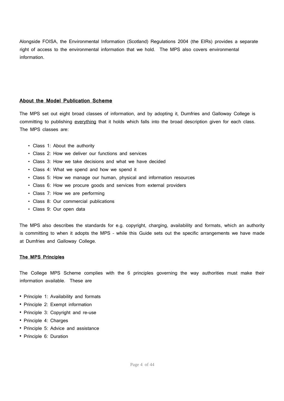Alongside FOISA, the Environmental Information (Scotland) Regulations 2004 (the EIRs) provides a separate right of access to the environmental information that we hold. The MPS also covers environmental information.

#### **About the Model Publication Scheme**

The MPS set out eight broad classes of information, and by adopting it, Dumfries and Galloway College is committing to publishing everything that it holds which falls into the broad description given for each class. The MPS classes are:

- Class 1: About the authority
- Class 2: How we deliver our functions and services
- Class 3: How we take decisions and what we have decided
- Class 4: What we spend and how we spend it
- Class 5: How we manage our human, physical and information resources
- Class 6: How we procure goods and services from external providers
- Class 7: How we are performing
- Class 8: Our commercial publications
- Class 9: Our open data

The MPS also describes the standards for e.g. copyright, charging, availability and formats, which an authority is committing to when it adopts the MPS – while this Guide sets out the specific arrangements we have made at Dumfries and Galloway College.

#### **The MPS Principles**

The College MPS Scheme complies with the 6 principles governing the way authorities must make their information available. These are

- Principle 1: Availability and formats
- Principle 2: Exempt information
- Principle 3: Copyright and re-use
- Principle 4: Charges
- Principle 5: Advice and assistance
- Principle 6: Duration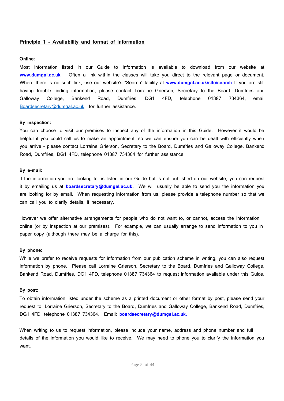#### **Principle 1 - Availability and format of information**

#### **Online**:

Most information listed in our Guide to Information is available to download from our website at **www.dumgal.ac.uk** Often a link within the classes will take you direct to the relevant page or document. Where there is no such link, use our website's "Search" facility at **www.dumgal.ac.uk/site/search** If you are still having trouble finding information, please contact Lorraine Grierson, Secretary to the Board, Dumfries and Galloway College, Bankend Road, Dumfries, DG1 4FD, telephone 01387 734364, email [Boardsecretary@dumgal.ac.uk](mailto:Boardsecretary@dumgal.ac.uk) for further assistance.

#### **By inspection:**

You can choose to visit our premises to inspect any of the information in this Guide. However it would be helpful if you could call us to make an appointment, so we can ensure you can be dealt with efficiently when you arrive – please contact Lorraine Grierson, Secretary to the Board, Dumfries and Galloway College, Bankend Road, Dumfries, DG1 4FD, telephone 01387 734364 for further assistance.

#### **By e-mail:**

If the information you are looking for is listed in our Guide but is not published on our website, you can request it by emailing us at **boardsecretary@dumgal.ac.uk.** We will usually be able to send you the information you are looking for by email. When requesting information from us, please provide a telephone number so that we can call you to clarify details, if necessary.

However we offer alternative arrangements for people who do not want to, or cannot, access the information online (or by inspection at our premises). For example, we can usually arrange to send information to you in paper copy (although there may be a charge for this).

#### **By phone:**

While we prefer to receive requests for information from our publication scheme in writing, you can also request information by phone. Please call Lorraine Grierson, Secretary to the Board, Dumfries and Galloway College, Bankend Road, Dumfries, DG1 4FD, telephone 01387 734364 to request information available under this Guide.

#### **By post:**

To obtain information listed under the scheme as a printed document or other format by post, please send your request to: Lorraine Grierson, Secretary to the Board, Dumfries and Galloway College, Bankend Road, Dumfries, DG1 4FD, telephone 01387 734364. Email: **boardsecretary@dumgal.ac.uk.**

When writing to us to request information, please include your name, address and phone number and full details of the information you would like to receive. We may need to phone you to clarify the information you want.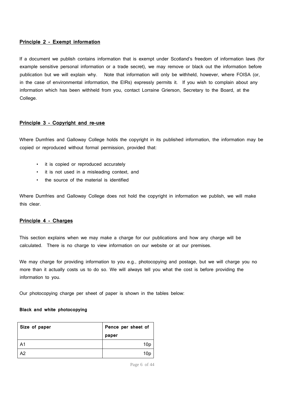#### **Principle 2 - Exempt information**

If a document we publish contains information that is exempt under Scotland's freedom of information laws (for example sensitive personal information or a trade secret), we may remove or black out the information before publication but we will explain why. Note that information will only be withheld, however, where FOISA (or, in the case of environmental information, the EIRs) expressly permits it. If you wish to complain about any information which has been withheld from you, contact Lorraine Grierson, Secretary to the Board, at the College.

#### **Principle 3 – Copyright and re-use**

Where Dumfries and Galloway College holds the copyright in its published information, the information may be copied or reproduced without formal permission, provided that:

- it is copied or reproduced accurately
- it is not used in a misleading context, and
- the source of the material is identified

Where Dumfries and Galloway College does not hold the copyright in information we publish, we will make this clear.

#### **Principle 4 - Charges**

This section explains when we may make a charge for our publications and how any charge will be calculated. There is no charge to view information on our website or at our premises.

We may charge for providing information to you e.g., photocopying and postage, but we will charge you no more than it actually costs us to do so. We will always tell you what the cost is before providing the information to you.

Our photocopying charge per sheet of paper is shown in the tables below:

#### **Black and white photocopying**

| Size of paper | Pence per sheet of |
|---------------|--------------------|
|               | paper              |
| A1            | 10 <sub>p</sub>    |
| A2            | 10p                |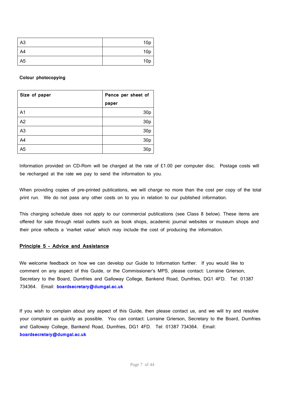| A <sub>3</sub> | 10 <sub>p</sub> |
|----------------|-----------------|
| A4             | 10 <sub>p</sub> |
| A <sub>5</sub> | 10 <sub>p</sub> |

#### **Colour photocopying**

| Size of paper  | Pence per sheet of |
|----------------|--------------------|
|                | paper              |
| A <sub>1</sub> | 30p                |
| A2             | 30p                |
| A <sub>3</sub> | 30p                |
| A4             | 30p                |
| A <sub>5</sub> | 30 <sub>p</sub>    |

Information provided on CD-Rom will be charged at the rate of £1.00 per computer disc. Postage costs will be recharged at the rate we pay to send the information to you.

When providing copies of pre-printed publications, we will charge no more than the cost per copy of the total print run. We do not pass any other costs on to you in relation to our published information.

This charging schedule does not apply to our commercial publications (see Class 8 below). These items are offered for sale through retail outlets such as book shops, academic journal websites or museum shops and their price reflects a 'market value' which may include the cost of producing the information.

#### **Principle 5 – Advice and Assistance**

We welcome feedback on how we can develop our Guide to Information further. If you would like to comment on any aspect of this Guide, or the Commissioner's MPS, please contact: Lorraine Grierson, Secretary to the Board, Dumfries and Galloway College, Bankend Road, Dumfries, DG1 4FD. Tel: 01387 734364. Email: **boardsecretary@dumgal.ac.uk**

If you wish to complain about any aspect of this Guide, then please contact us, and we will try and resolve your complaint as quickly as possible. You can contact: Lorraine Grierson, Secretary to the Board, Dumfries and Galloway College, Bankend Road, Dumfries, DG1 4FD. Tel: 01387 734364. Email: **boardsecretary@dumgal.ac.uk**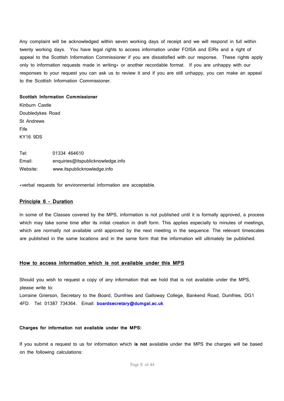Any complaint will be acknowledged within seven working days of receipt and we will respond in full within twenty working days. You have legal rights to access information under FOISA and EIRs and a right of appeal to the Scottish Information Commissioner if you are dissatisfied with our response. These rights apply only to information requests made in writing\* or another recordable format. If you are unhappy with our responses to your request you can ask us to review it and if you are still unhappy, you can make an appeal to the Scottish Information Commissioner.

#### **Scottish Information Commissioner**

Kinburn Castle Doubledykes Road St Andrews Fife KY16 9DS

Tel: 01334 464610 Email: enquiries@itspublicknowledge.info Website: www.itspublicknowledge.info

\*verbal requests for environmental information are acceptable.

#### **Principle 6 - Duration**

In some of the Classes covered by the MPS, information is not published until it is formally approved, a process which may take some time after its initial creation in draft form. This applies especially to minutes of meetings, which are normally not available until approved by the next meeting in the sequence. The relevant timescales are published in the same locations and in the same form that the information will ultimately be published.

#### **How to access information which is not available under this MPS**

Should you wish to request a copy of any information that we hold that is not available under the MPS, please write to:

Lorraine Grierson, Secretary to the Board, Dumfries and Galloway College, Bankend Road, Dumfries, DG1 4FD. Tel: 01387 734364. Email: **boardsecretary@dumgal.ac.uk**

#### **Charges for information not available under the MPS:**

If you submit a request to us for information which **is not** available under the MPS the charges will be based on the following calculations: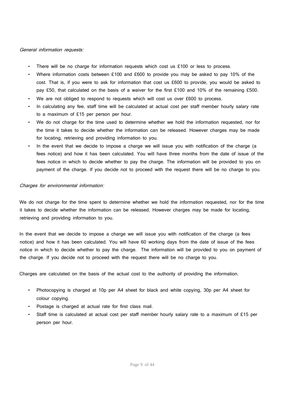#### General information requests:

- There will be no charge for information requests which cost us £100 or less to process.
- Where information costs between £100 and £600 to provide you may be asked to pay 10% of the cost. That is, if you were to ask for information that cost us £600 to provide, you would be asked to pay £50, that calculated on the basis of a waiver for the first £100 and 10% of the remaining £500.
- We are not obliged to respond to requests which will cost us over £600 to process.
- In calculating any fee, staff time will be calculated at actual cost per staff member hourly salary rate to a maximum of £15 per person per hour.
- We do not charge for the time used to determine whether we hold the information requested, nor for the time it takes to decide whether the information can be released. However charges may be made for locating, retrieving and providing information to you.
- In the event that we decide to impose a charge we will issue you with notification of the charge (a fees notice) and how it has been calculated. You will have three months from the date of issue of the fees notice in which to decide whether to pay the charge. The information will be provided to you on payment of the charge. If you decide not to proceed with the request there will be no charge to you.

#### Charges for environmental information:

We do not charge for the time spent to determine whether we hold the information requested, nor for the time it takes to decide whether the information can be released. However charges may be made for locating, retrieving and providing information to you.

In the event that we decide to impose a charge we will issue you with notification of the charge (a fees notice) and how it has been calculated. You will have 60 working days from the date of issue of the fees notice in which to decide whether to pay the charge. The information will be provided to you on payment of the charge. If you decide not to proceed with the request there will be no charge to you.

Charges are calculated on the basis of the actual cost to the authority of providing the information.

- Photocopying is charged at 10p per A4 sheet for black and white copying, 30p per A4 sheet for colour copying.
- Postage is charged at actual rate for first class mail.
- Staff time is calculated at actual cost per staff member hourly salary rate to a maximum of £15 per person per hour.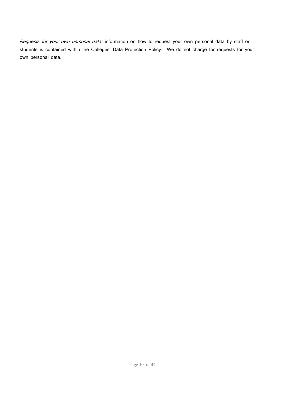Requests for your own personal data: information on how to request your own personal data by staff or students is contained within the Colleges' Data Protection Policy. We do not charge for requests for your own personal data.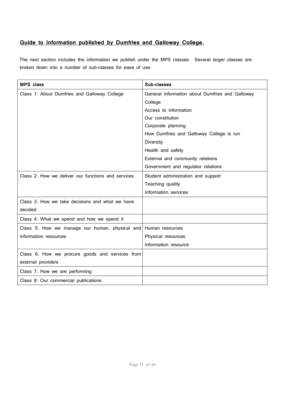## **Guide to Information published by Dumfries and Galloway College.**

The next section includes the information we publish under the MPS classes. Several larger classes are broken down into a number of sub-classes for ease of use.

| <b>MPS</b> class                                   | Sub-classes                                     |
|----------------------------------------------------|-------------------------------------------------|
| Class 1: About Dumfries and Galloway College       | General information about Dumfries and Galloway |
|                                                    | College                                         |
|                                                    | Access to information                           |
|                                                    | Our constitution                                |
|                                                    | Corporate planning                              |
|                                                    | How Dumfries and Galloway College is run        |
|                                                    | <b>Diversity</b>                                |
|                                                    | Health and safety                               |
|                                                    | External and community relations                |
|                                                    | Government and regulator relations              |
| Class 2: How we deliver our functions and services | Student administration and support              |
|                                                    | Teaching quality                                |
|                                                    | Information services                            |
| Class 3: How we take decisions and what we have    |                                                 |
| decided                                            |                                                 |
| Class 4: What we spend and how we spend it         |                                                 |
| Class 5: How we manage our human, physical and     | Human resources                                 |
| information resources                              | Physical resources                              |
|                                                    | Information resource                            |
| Class 6: How we procure goods and services from    |                                                 |
| external providers                                 |                                                 |
| Class 7: How we are performing                     |                                                 |
| Class 8: Our commercial publications               |                                                 |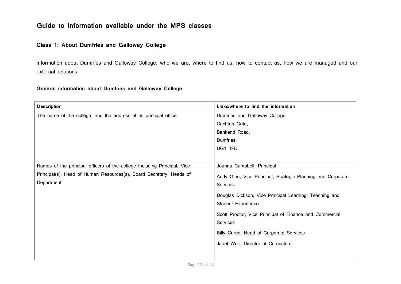## **Guide to Information available under the MPS classes**

## **Class 1: About Dumfries and Galloway College**

Information about Dumfries and Galloway College, who we are, where to find us, how to contact us, how we are managed and our external relations.

#### **General information about Dumfries and Galloway College**

| <b>Description</b>                                                       | Links/where to find the information                         |
|--------------------------------------------------------------------------|-------------------------------------------------------------|
| The name of the college, and the address of its principal office.        | Dumfries and Galloway College,                              |
|                                                                          | Crichton Gate,                                              |
|                                                                          | Bankend Road,                                               |
|                                                                          | Dumfries,                                                   |
|                                                                          | DG1 4FD                                                     |
|                                                                          |                                                             |
| Names of the principal officers of the college including Principal, Vice | Joanna Campbell, Principal                                  |
| Principal(s), Head of Human Resources(s), Board Secretary, Heads of      | Andy Glen, Vice Principal, Strategic Planning and Corporate |
| Department.                                                              | <b>Services</b>                                             |
|                                                                          | Douglas Dickson, Vice Principal Learning, Teaching and      |
|                                                                          | <b>Student Experience</b>                                   |
|                                                                          | Scott Proctor, Vice Principal of Finance and Commercial     |
|                                                                          | Services                                                    |
|                                                                          | Billy Currie, Head of Corporate Services                    |
|                                                                          | Janet Weir, Director of Curriculum                          |
|                                                                          |                                                             |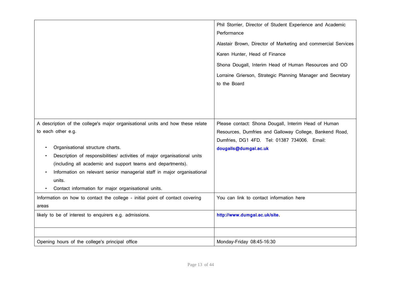|                                                                                                                                                                                                                                                                                                                                                                 | Phil Storrier, Director of Student Experience and Academic<br>Performance<br>Alastair Brown, Director of Marketing and commercial Services<br>Karen Hunter, Head of Finance<br>Shona Dougall, Interim Head of Human Resources and OD<br>Lorraine Grierson, Strategic Planning Manager and Secretary<br>to the Board |
|-----------------------------------------------------------------------------------------------------------------------------------------------------------------------------------------------------------------------------------------------------------------------------------------------------------------------------------------------------------------|---------------------------------------------------------------------------------------------------------------------------------------------------------------------------------------------------------------------------------------------------------------------------------------------------------------------|
| A description of the college's major organisational units and how these relate<br>to each other e.g.<br>Organisational structure charts.<br>Description of responsibilities/ activities of major organisational units<br>(including all academic and support teams and departments).<br>Information on relevant senior managerial staff in major organisational | Please contact: Shona Dougall, Interim Head of Human<br>Resources, Dumfries and Galloway College, Bankend Road,<br>Dumfries, DG1 4FD. Tel: 01387 734006. Email:<br>dougalls@dumgal.ac.uk                                                                                                                            |
| units.<br>Contact information for major organisational units.                                                                                                                                                                                                                                                                                                   |                                                                                                                                                                                                                                                                                                                     |
| Information on how to contact the college - initial point of contact covering<br>areas                                                                                                                                                                                                                                                                          | You can link to contact information here                                                                                                                                                                                                                                                                            |
| likely to be of interest to enquirers e.g. admissions.                                                                                                                                                                                                                                                                                                          | http://www.dumgal.ac.uk/site.                                                                                                                                                                                                                                                                                       |
| Opening hours of the college's principal office                                                                                                                                                                                                                                                                                                                 | Monday-Friday 08:45-16:30                                                                                                                                                                                                                                                                                           |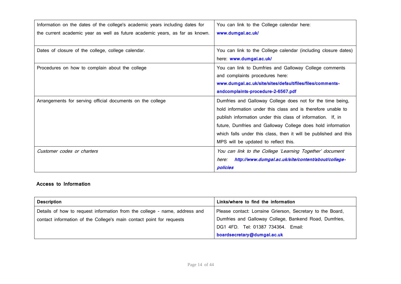| Information on the dates of the college's academic years including dates for | You can link to the College calendar here:                       |
|------------------------------------------------------------------------------|------------------------------------------------------------------|
| the current academic year as well as future academic years, as far as known. | www.dumgal.ac.uk/                                                |
|                                                                              |                                                                  |
| Dates of closure of the college, college calendar.                           | You can link to the College calendar (including closure dates)   |
|                                                                              | here: www.dumgal.ac.uk/                                          |
| Procedures on how to complain about the college                              | You can link to Dumfries and Galloway College comments           |
|                                                                              | and complaints procedures here:                                  |
|                                                                              | www.dumgal.ac.uk/site/sites/default/files/files/comments-        |
|                                                                              | andcomplaints-procedure-2-6567.pdf                               |
| Arrangements for serving official documents on the college                   | Dumfries and Galloway College does not for the time being,       |
|                                                                              | hold information under this class and is therefore unable to     |
|                                                                              | publish information under this class of information. If, in      |
|                                                                              | future, Dumfries and Galloway College does hold information      |
|                                                                              | which falls under this class, then it will be published and this |
|                                                                              | MPS will be updated to reflect this.                             |
| Customer codes or charters                                                   | You can link to the College 'Learning Together' document         |
|                                                                              | http://www.dumgal.ac.uk/site/content/about/college-<br>here:     |
|                                                                              | policies                                                         |

## **Access to Information**

| <b>Description</b>                                                         | Links/where to find the information                        |
|----------------------------------------------------------------------------|------------------------------------------------------------|
| Details of how to request information from the college - name, address and | Please contact: Lorraine Grierson, Secretary to the Board, |
| contact information of the College's main contact point for requests       | Dumfries and Galloway College, Bankend Road, Dumfries,     |
|                                                                            | DG1 4FD. Tel: 01387 734364. Email:                         |
|                                                                            | boardsecretary@dumgal.ac.uk                                |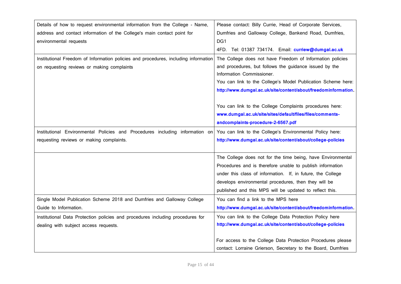| Details of how to request environmental information from the College - Name,        | Please contact: Billy Currie, Head of Corporate Services,      |
|-------------------------------------------------------------------------------------|----------------------------------------------------------------|
| address and contact information of the College's main contact point for             | Dumfries and Galloway College, Bankend Road, Dumfries,         |
| environmental requests                                                              | DG1                                                            |
|                                                                                     | Tel: 01387 734174. Email: curriew@dumgal.ac.uk<br>4FD.         |
| Institutional Freedom of Information policies and procedures, including information | The College does not have Freedom of Information policies      |
| on requesting reviews or making complaints                                          | and procedures, but follows the guidance issued by the         |
|                                                                                     | Information Commissioner.                                      |
|                                                                                     | You can link to the College's Model Publication Scheme here:   |
|                                                                                     | http://www.dumgal.ac.uk/site/content/about/freedominformation. |
|                                                                                     |                                                                |
|                                                                                     | You can link to the College Complaints procedures here:        |
|                                                                                     | www.dumgal.ac.uk/site/sites/default/files/files/comments-      |
|                                                                                     | andcomplaints-procedure-2-6567.pdf                             |
| Institutional Environmental Policies and Procedures including information on        | You can link to the College's Environmental Policy here:       |
| requesting reviews or making complaints.                                            | http://www.dumgal.ac.uk/site/content/about/college-policies    |
|                                                                                     |                                                                |
|                                                                                     | The College does not for the time being, have Environmental    |
|                                                                                     | Procedures and is therefore unable to publish information      |
|                                                                                     | under this class of information. If, in future, the College    |
|                                                                                     | develops environmental procedures, then they will be           |
|                                                                                     | published and this MPS will be updated to reflect this.        |
| Single Model Publication Scheme 2018 and Dumfries and Galloway College              | You can find a link to the MPS here                            |
| Guide to Information.                                                               | http://www.dumgal.ac.uk/site/content/about/freedominformation. |
| Institutional Data Protection policies and procedures including procedures for      | You can link to the College Data Protection Policy here        |
| dealing with subject access requests.                                               | http://www.dumgal.ac.uk/site/content/about/college-policies    |
|                                                                                     |                                                                |
|                                                                                     | For access to the College Data Protection Procedures please    |
|                                                                                     | contact: Lorraine Grierson, Secretary to the Board, Dumfries   |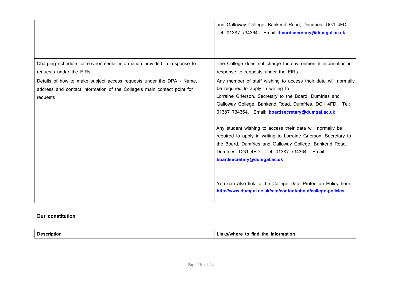|                                                                                                                                                             | and Galloway College, Bankend Road, Dumfries, DG1 4FD.<br>Tel: 01387 734364. Email: boardsecretary@dumgal.ac.uk                                                                                                                                                                                                                                                                                                                                                                                                                                          |
|-------------------------------------------------------------------------------------------------------------------------------------------------------------|----------------------------------------------------------------------------------------------------------------------------------------------------------------------------------------------------------------------------------------------------------------------------------------------------------------------------------------------------------------------------------------------------------------------------------------------------------------------------------------------------------------------------------------------------------|
| Charging schedule for environmental information provided in response to<br>requests under the EIRs                                                          | The College does not charge for environmental information in<br>response to requests under the EIRs.                                                                                                                                                                                                                                                                                                                                                                                                                                                     |
| Details of how to make subject access requests under the DPA - Name,<br>address and contact information of the College's main contact point for<br>requests | Any member of staff wishing to access their data will normally<br>be required to apply in writing to<br>Lorraine Grierson, Secretary to the Board, Dumfries and<br>Galloway College, Bankend Road, Dumfries, DG1 4FD. Tel:<br>01387 734364. Email: boardsecretary@dumgal.ac.uk<br>Any student wishing to access their data will normally be<br>required to apply in writing to Lorraine Grierson, Secretary to<br>the Board, Dumfries and Galloway College, Bankend Road,<br>Dumfries, DG1 4FD. Tel: 01387 734364. Email:<br>boardsecretary@dumgal.ac.uk |
|                                                                                                                                                             | You can also link to the College Data Protection Policy here<br>http://www.dumgal.ac.uk/site/content/about/college-policies                                                                                                                                                                                                                                                                                                                                                                                                                              |

## **Our constitution**

| the<br>tind<br><b>/where</b><br><b>informatior</b><br>to<br>IMIN |
|------------------------------------------------------------------|
|------------------------------------------------------------------|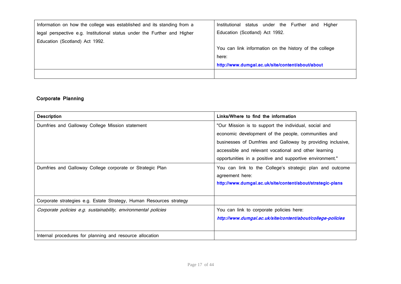| Information on how the college was established and its standing from a   | Institutional status under the Further and Higher      |
|--------------------------------------------------------------------------|--------------------------------------------------------|
| legal perspective e.g. Institutional status under the Further and Higher | Education (Scotland) Act 1992.                         |
| Education (Scotland) Act 1992.                                           |                                                        |
|                                                                          | You can link information on the history of the college |
|                                                                          | here:                                                  |
|                                                                          | http://www.dumgal.ac.uk/site/content/about/about       |
|                                                                          |                                                        |

## **Corporate Planning**

| <b>Description</b>                                                  | Links/Where to find the information                         |
|---------------------------------------------------------------------|-------------------------------------------------------------|
| Dumfries and Galloway College Mission statement                     | "Our Mission is to support the individual, social and       |
|                                                                     | economic development of the people, communities and         |
|                                                                     | businesses of Dumfries and Galloway by providing inclusive, |
|                                                                     | accessible and relevant vocational and other learning       |
|                                                                     | opportunities in a positive and supportive environment."    |
| Dumfries and Galloway College corporate or Strategic Plan           | You can link to the College's strategic plan and outcome    |
|                                                                     | agreement here:                                             |
|                                                                     | http://www.dumgal.ac.uk/site/content/about/strategic-plans  |
|                                                                     |                                                             |
| Corporate strategies e.g. Estate Strategy, Human Resources strategy |                                                             |
| Corporate policies e.g. sustainability, environmental policies      | You can link to corporate policies here:                    |
|                                                                     | http://www.dumgal.ac.uk/site/content/about/college-policies |
|                                                                     |                                                             |
| Internal procedures for planning and resource allocation            |                                                             |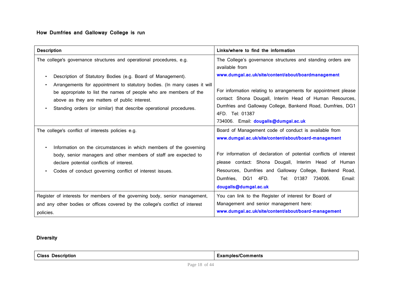## **How Dumfries and Galloway College is run**

| <b>Description</b>                                                                                                                                                                                                                                                                                                                  | Links/where to find the information                                                                                                                                                                                                                                 |
|-------------------------------------------------------------------------------------------------------------------------------------------------------------------------------------------------------------------------------------------------------------------------------------------------------------------------------------|---------------------------------------------------------------------------------------------------------------------------------------------------------------------------------------------------------------------------------------------------------------------|
| The college's governance structures and operational procedures, e.g.                                                                                                                                                                                                                                                                | The College's governance structures and standing orders are<br>available from<br>www.dumgal.ac.uk/site/content/about/boardmanagement                                                                                                                                |
| Description of Statutory Bodies (e.g. Board of Management).<br>Arrangements for appointment to statutory bodies. (In many cases it will<br>be appropriate to list the names of people who are members of the<br>above as they are matters of public interest.<br>Standing orders (or similar) that describe operational procedures. | For information relating to arrangements for appointment please<br>contact: Shona Dougall, Interim Head of Human Resources,<br>Dumfries and Galloway College, Bankend Road, Dumfries, DG1<br>4FD. Tel: 01387<br>734006. Email: dougalls@dumgal.ac.uk                |
| The college's conflict of interests policies e.g.                                                                                                                                                                                                                                                                                   | Board of Management code of conduct is available from<br>www.dumgal.ac.uk/site/content/about/board-management                                                                                                                                                       |
| Information on the circumstances in which members of the governing<br>body, senior managers and other members of staff are expected to<br>declare potential conflicts of interest.<br>Codes of conduct governing conflict of interest issues.                                                                                       | For information of declaration of potential conflicts of interest<br>please contact: Shona Dougall, Interim Head of Human<br>Resources, Dumfries and Galloway College, Bankend Road,<br>Tel: 01387 734006.<br>Dumfries, DG1 4FD.<br>Email:<br>dougalls@dumgal.ac.uk |
| Register of interests for members of the governing body, senior management,<br>and any other bodies or offices covered by the college's conflict of interest<br>policies.                                                                                                                                                           | You can link to the Register of interest for Board of<br>Management and senior management here:<br>www.dumgal.ac.uk/site/content/about/board-management                                                                                                             |

## **Diversity**

| <b>Class</b><br>Description<br>. <del>.</del> | Comments<br>38 L<br>.ambies/ |
|-----------------------------------------------|------------------------------|
|                                               |                              |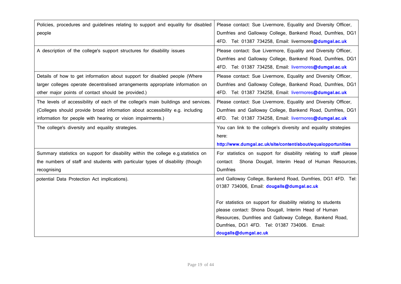| Policies, procedures and guidelines relating to support and equality for disabled | Please contact: Sue Livermore, Equality and Diversity Officer,    |
|-----------------------------------------------------------------------------------|-------------------------------------------------------------------|
| people                                                                            | Dumfries and Galloway College, Bankend Road, Dumfries, DG1        |
|                                                                                   | 4FD. Tel: 01387 734258, Email: livermores@dumgal.ac.uk            |
| A description of the college's support structures for disability issues           | Please contact: Sue Livermore, Equality and Diversity Officer,    |
|                                                                                   | Dumfries and Galloway College, Bankend Road, Dumfries, DG1        |
|                                                                                   | 4FD. Tel: 01387 734258, Email: livermores@dumgal.ac.uk            |
| Details of how to get information about support for disabled people (Where        | Please contact: Sue Livermore, Equality and Diversity Officer,    |
| larger colleges operate decentralised arrangements appropriate information on     | Dumfries and Galloway College, Bankend Road, Dumfries, DG1        |
| other major points of contact should be provided.)                                | 4FD. Tel: 01387 734258, Email: livermores@dumgal.ac.uk            |
| The levels of accessibility of each of the college's main buildings and services. | Please contact: Sue Livermore, Equality and Diversity Officer,    |
| (Colleges should provide broad information about accessibility e.g. including     | Dumfries and Galloway College, Bankend Road, Dumfries, DG1        |
| information for people with hearing or vision impairments.)                       | 4FD. Tel: 01387 734258, Email: livermores@dumgal.ac.uk            |
| The college's diversity and equality strategies.                                  | You can link to the college's diversity and equality strategies   |
|                                                                                   | here:                                                             |
|                                                                                   | http://www.dumgal.ac.uk/site/content/about/equalopportunities     |
| Summary statistics on support for disability within the college e.g.statistics on | For statistics on support for disability relating to staff please |
| the numbers of staff and students with particular types of disability (though     | Shona Dougall, Interim Head of Human Resources,<br>contact:       |
| recognising                                                                       | <b>Dumfries</b>                                                   |
| potential Data Protection Act implications).                                      | and Galloway College, Bankend Road, Dumfries, DG1 4FD. Tel:       |
|                                                                                   | 01387 734006, Email: dougalls@dumgal.ac.uk                        |
|                                                                                   |                                                                   |
|                                                                                   | For statistics on support for disability relating to students     |
|                                                                                   | please contact: Shona Dougall, Interim Head of Human              |
|                                                                                   | Resources, Dumfries and Galloway College, Bankend Road,           |
|                                                                                   | Dumfries, DG1 4FD. Tel: 01387 734006. Email:                      |
|                                                                                   | dougalls@dumgal.ac.uk                                             |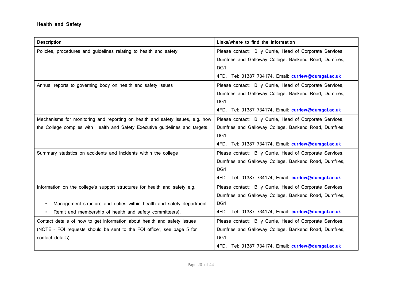| <b>Description</b>                                                            | Links/where to find the information                       |
|-------------------------------------------------------------------------------|-----------------------------------------------------------|
| Policies, procedures and guidelines relating to health and safety             | Please contact: Billy Currie, Head of Corporate Services, |
|                                                                               | Dumfries and Galloway College, Bankend Road, Dumfries,    |
|                                                                               | DG1                                                       |
|                                                                               | 4FD. Tel: 01387 734174, Email: curriew@dumgal.ac.uk       |
| Annual reports to governing body on health and safety issues                  | Please contact: Billy Currie, Head of Corporate Services, |
|                                                                               | Dumfries and Galloway College, Bankend Road, Dumfries,    |
|                                                                               | DG1                                                       |
|                                                                               | 4FD. Tel: 01387 734174, Email: curriew@dumgal.ac.uk       |
| Mechanisms for monitoring and reporting on health and safety issues, e.g. how | Please contact: Billy Currie, Head of Corporate Services, |
| the College complies with Health and Safety Executive guidelines and targets. | Dumfries and Galloway College, Bankend Road, Dumfries,    |
|                                                                               | DG1                                                       |
|                                                                               | 4FD. Tel: 01387 734174, Email: curriew@dumgal.ac.uk       |
| Summary statistics on accidents and incidents within the college              | Please contact: Billy Currie, Head of Corporate Services, |
|                                                                               | Dumfries and Galloway College, Bankend Road, Dumfries,    |
|                                                                               | DG1                                                       |
|                                                                               | 4FD. Tel: 01387 734174, Email: curriew@dumgal.ac.uk       |
| Information on the college's support structures for health and safety e.g.    | Please contact: Billy Currie, Head of Corporate Services, |
|                                                                               | Dumfries and Galloway College, Bankend Road, Dumfries,    |
| Management structure and duties within health and safety department.          | DG1                                                       |
| Remit and membership of health and safety committee(s).                       | 4FD. Tel: 01387 734174, Email: curriew@dumgal.ac.uk       |
| Contact details of how to get information about health and safety issues      | Please contact: Billy Currie, Head of Corporate Services, |
| (NOTE - FOI requests should be sent to the FOI officer, see page 5 for        | Dumfries and Galloway College, Bankend Road, Dumfries,    |
| contact details).                                                             | DG1                                                       |
|                                                                               | 4FD. Tel: 01387 734174, Email: curriew@dumgal.ac.uk       |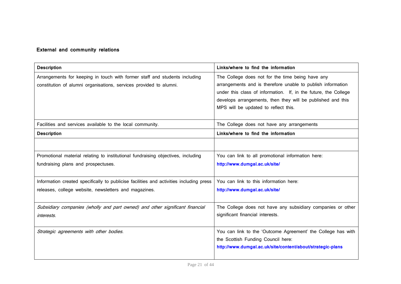## **External and community relations**

| <b>Description</b>                                                                                                                               | Links/where to find the information                                                                                                                                                                                                                                                       |
|--------------------------------------------------------------------------------------------------------------------------------------------------|-------------------------------------------------------------------------------------------------------------------------------------------------------------------------------------------------------------------------------------------------------------------------------------------|
| Arrangements for keeping in touch with former staff and students including<br>constitution of alumni organisations, services provided to alumni. | The College does not for the time being have any<br>arrangements and is therefore unable to publish information<br>under this class of information. If, in the future, the College<br>develops arrangements, then they will be published and this<br>MPS will be updated to reflect this. |
| Facilities and services available to the local community.                                                                                        | The College does not have any arrangements                                                                                                                                                                                                                                                |
| <b>Description</b>                                                                                                                               | Links/where to find the information                                                                                                                                                                                                                                                       |
|                                                                                                                                                  |                                                                                                                                                                                                                                                                                           |
| Promotional material relating to institutional fundraising objectives, including<br>fundraising plans and prospectuses.                          | You can link to all promotional information here:<br>http://www.dumgal.ac.uk/site/                                                                                                                                                                                                        |
| Information created specifically to publicise facilities and activities including press<br>releases, college website, newsletters and magazines. | You can link to this information here:<br>http://www.dumgal.ac.uk/site/                                                                                                                                                                                                                   |
| Subsidiary companies (wholly and part owned) and other significant financial<br>interests.                                                       | The College does not have any subsidiary companies or other<br>significant financial interests.                                                                                                                                                                                           |
| Strategic agreements with other bodies.                                                                                                          | You can link to the 'Outcome Agreement' the College has with<br>the Scottish Funding Council here:<br>http://www.dumgal.ac.uk/site/content/about/strategic-plans                                                                                                                          |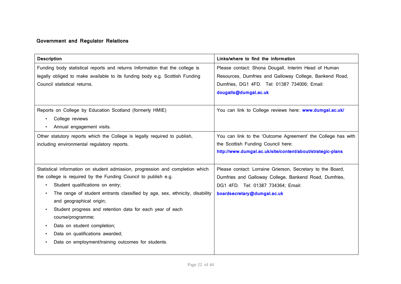## **Government and Regulator Relations**

| <b>Description</b>                                                             | Links/where to find the information                          |
|--------------------------------------------------------------------------------|--------------------------------------------------------------|
| Funding body statistical reports and returns Information that the college is   | Please contact: Shona Dougall, Interim Head of Human         |
| legally obliged to make available to its funding body e.g. Scottish Funding    | Resources, Dumfries and Galloway College, Bankend Road,      |
| Council statistical returns.                                                   | Dumfries, DG1 4FD. Tel: 01387 734006; Email:                 |
|                                                                                | dougalls@dumgal.ac.uk                                        |
|                                                                                |                                                              |
| Reports on College by Education Scotland (formerly HMIE)                       | You can link to College reviews here: www.dumgal.ac.uk/      |
| College reviews                                                                |                                                              |
| Annual engagement visits.<br>$\bullet$                                         |                                                              |
| Other statutory reports which the College is legally required to publish,      | You can link to the 'Outcome Agreement' the College has with |
| including environmental regulatory reports.                                    | the Scottish Funding Council here:                           |
|                                                                                | http://www.dumgal.ac.uk/site/content/about/strategic-plans   |
|                                                                                |                                                              |
| Statistical information on student admission, progression and completion which | Please contact: Lorraine Grierson, Secretary to the Board,   |
| the college is required by the Funding Council to publish e.g.                 | Dumfries and Galloway College, Bankend Road, Dumfries,       |
| Student qualifications on entry;                                               | DG1 4FD. Tel: 01387 734364; Email:                           |
| The range of student entrants classified by age, sex, ethnicity, disability    | boardsecretary@dumgal.ac.uk                                  |
| and geographical origin;                                                       |                                                              |
| Student progress and retention data for each year of each                      |                                                              |
| course/programme;                                                              |                                                              |
| Data on student completion;<br>$\bullet$                                       |                                                              |
| Data on qualifications awarded;                                                |                                                              |
| Data on employment/training outcomes for students.                             |                                                              |
|                                                                                |                                                              |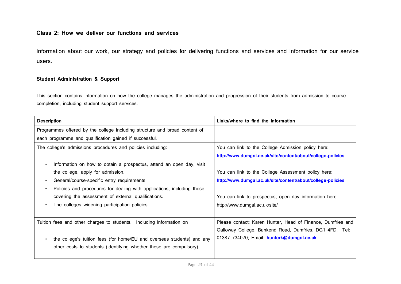## **Class 2: How we deliver our functions and services**

Information about our work, our strategy and policies for delivering functions and services and information for our service users.

### **Student Administration & Support**

This section contains information on how the college manages the administration and progression of their students from admission to course completion, including student support services.

| <b>Description</b>                                                                  | Links/where to find the information                         |
|-------------------------------------------------------------------------------------|-------------------------------------------------------------|
| Programmes offered by the college including structure and broad content of          |                                                             |
| each programme and qualification gained if successful.                              |                                                             |
| The college's admissions procedures and policies including:                         | You can link to the College Admission policy here:          |
|                                                                                     | http://www.dumgal.ac.uk/site/content/about/college-policies |
| Information on how to obtain a prospectus, attend an open day, visit<br>$\bullet$   |                                                             |
| the college, apply for admission.                                                   | You can link to the College Assessment policy here:         |
| General/course-specific entry requirements.<br>$\bullet$                            | http://www.dumgal.ac.uk/site/content/about/college-policies |
| Policies and procedures for dealing with applications, including those<br>$\bullet$ |                                                             |
| covering the assessment of external qualifications.                                 | You can link to prospectus, open day information here:      |
| The colleges widening participation policies<br>$\bullet$                           | http://www.dumgal.ac.uk/site/                               |
|                                                                                     |                                                             |
| Tuition fees and other charges to students. Including information on                | Please contact: Karen Hunter, Head of Finance, Dumfries and |
|                                                                                     | Galloway College, Bankend Road, Dumfries, DG1 4FD. Tel:     |
| the college's tuition fees (for home/EU and overseas students) and any<br>$\bullet$ | 01387 734070; Email: hunterk@dumgal.ac.uk                   |
| other costs to students (identifying whether these are compulsory),                 |                                                             |
|                                                                                     |                                                             |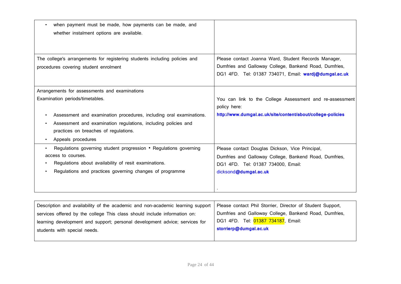| when payment must be made, how payments can be made, and                   |                                                                                                                 |
|----------------------------------------------------------------------------|-----------------------------------------------------------------------------------------------------------------|
| whether instalment options are available.                                  |                                                                                                                 |
|                                                                            |                                                                                                                 |
| The college's arrangements for registering students including policies and | Please contact Joanna Ward, Student Records Manager,                                                            |
| procedures covering student enrolment                                      | Dumfries and Galloway College, Bankend Road, Dumfries,<br>DG1 4FD. Tel: 01387 734071, Email: wardj@dumgal.ac.uk |
| Arrangements for assessments and examinations                              |                                                                                                                 |
| Examination periods/timetables.                                            | You can link to the College Assessment and re-assessment<br>policy here:                                        |
| Assessment and examination procedures, including oral examinations.        | http://www.dumgal.ac.uk/site/content/about/college-policies                                                     |
| Assessment and examination regulations, including policies and             |                                                                                                                 |
| practices on breaches of regulations.                                      |                                                                                                                 |
| Appeals procedures                                                         |                                                                                                                 |
| Regulations governing student progression • Regulations governing          | Please contact Douglas Dickson, Vice Principal,                                                                 |
| access to courses.                                                         | Dumfries and Galloway College, Bankend Road, Dumfries,                                                          |
| Regulations about availability of resit examinations.                      | DG1 4FD. Tel: 01387 734000, Email:                                                                              |
| Regulations and practices governing changes of programme                   | dicksond@dumgal.ac.uk                                                                                           |
|                                                                            |                                                                                                                 |
|                                                                            |                                                                                                                 |

| Description and availability of the academic and non-academic learning support | Please contact Phil Storrier, Director of Student Support, |
|--------------------------------------------------------------------------------|------------------------------------------------------------|
| services offered by the college This class should include information on:      | Dumfries and Galloway College, Bankend Road, Dumfries,     |
| learning development and support; personal development advice; services for    | DG1 4FD. Tel: 01387 734187, Email:                         |
| students with special needs.                                                   | storrierp@dumgal.ac.uk                                     |
|                                                                                |                                                            |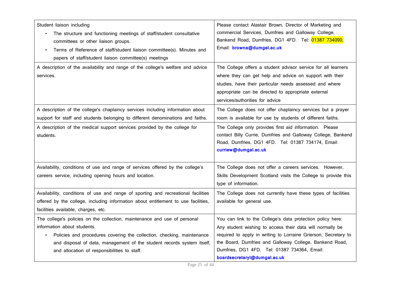| Student liaison including<br>The structure and functioning meetings of staff/student consultative<br>committees or other liaison groups.<br>Terms of Reference of staff/student liaison committee(s). Minutes and<br>$\bullet$<br>papers of staff/student liaison committee(s) meetings<br>A description of the availability and range of the college's welfare and advice<br>services. | Please contact Alastair Brown, Director of Marketing and<br>commercial Services, Dumfries and Galloway College,<br>Bankend Road, Dumfries, DG1 4FD. Tel: 01387 734090,<br>Email: browna@dumgal.ac.uk<br>The College offers a student advisor service for all learners<br>where they can get help and advice on support with their<br>studies, have their particular needs assessed and where<br>appropriate can be directed to appropriate external<br>services/authorities for advice |
|-----------------------------------------------------------------------------------------------------------------------------------------------------------------------------------------------------------------------------------------------------------------------------------------------------------------------------------------------------------------------------------------|----------------------------------------------------------------------------------------------------------------------------------------------------------------------------------------------------------------------------------------------------------------------------------------------------------------------------------------------------------------------------------------------------------------------------------------------------------------------------------------|
| A description of the college's chaplaincy services including information about<br>support for staff and students belonging to different denominations and faiths.                                                                                                                                                                                                                       | The College does not offer chaplaincy services but a prayer<br>room is available for use by students of different faiths.                                                                                                                                                                                                                                                                                                                                                              |
| A description of the medical support services provided by the college for<br>students.                                                                                                                                                                                                                                                                                                  | The College only provides first aid information. Please<br>contact Billy Currie, Dumfries and Galloway College, Bankend<br>Road, Dumfries, DG1 4FD. Tel: 01387 734174, Email:<br>curriew@dumgal.ac.uk                                                                                                                                                                                                                                                                                  |
| Availability, conditions of use and range of services offered by the college's<br>careers service, including opening hours and location.                                                                                                                                                                                                                                                | The College does not offer a careers services. However,<br>Skills Development Scotland visits the College to provide this<br>type of information.                                                                                                                                                                                                                                                                                                                                      |
| Availability, conditions of use and range of sporting and recreational facilities<br>offered by the college, including information about entitlement to use facilities,<br>facilities available, charges, etc.                                                                                                                                                                          | The College does not currently have these types of facilities<br>available for general use.                                                                                                                                                                                                                                                                                                                                                                                            |
| The college's policies on the collection, maintenance and use of personal<br>information about students.<br>Policies and procedures covering the collection, checking, maintenance<br>and disposal of data, management of the student records system itself,<br>and allocation of responsibilities to staff.                                                                            | You can link to the College's data protection policy here:<br>Any student wishing to access their data will normally be<br>required to apply in writing to Lorraine Grierson, Secretary to<br>the Board, Dumfries and Galloway College, Bankend Road,<br>Dumfries, DG1 4FD. Tel: 01387 734364, Email:<br>boardsecretaryl@dumgal.ac.uk                                                                                                                                                  |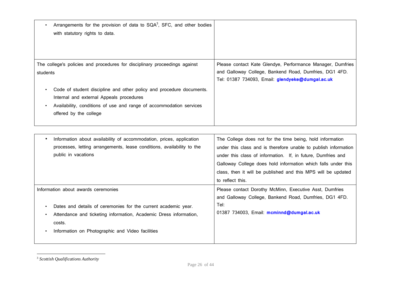| Arrangements for the provision of data to $SQA3$ , SFC, and other bodies<br>with statutory rights to data.                                                                                                                     |                                                                                                                                                                          |
|--------------------------------------------------------------------------------------------------------------------------------------------------------------------------------------------------------------------------------|--------------------------------------------------------------------------------------------------------------------------------------------------------------------------|
| The college's policies and procedures for disciplinary proceedings against<br>students                                                                                                                                         | Please contact Kate Glendye, Performance Manager, Dumfries<br>and Galloway College, Bankend Road, Dumfries, DG1 4FD.<br>Tel: 01387 734093, Email: glendyeke@dumgal.ac.uk |
| Code of student discipline and other policy and procedure documents.<br>$\bullet$<br>Internal and external Appeals procedures<br>Availability, conditions of use and range of accommodation services<br>offered by the college |                                                                                                                                                                          |

| Information about availability of accommodation, prices, application<br>٠<br>processes, letting arrangements, lease conditions, availability to the<br>public in vacations                                                                    | The College does not for the time being, hold information<br>under this class and is therefore unable to publish information<br>under this class of information. If, in future, Dumfries and<br>Galloway College does hold information which falls under this<br>class, then it will be published and this MPS will be updated<br>to reflect this. |
|-----------------------------------------------------------------------------------------------------------------------------------------------------------------------------------------------------------------------------------------------|----------------------------------------------------------------------------------------------------------------------------------------------------------------------------------------------------------------------------------------------------------------------------------------------------------------------------------------------------|
| Information about awards ceremonies<br>Dates and details of ceremonies for the current academic year.<br>٠<br>Attendance and ticketing information, Academic Dress information,<br>costs.<br>Information on Photographic and Video facilities | Please contact Dorothy McMinn, Executive Asst, Dumfries<br>and Galloway College, Bankend Road, Dumfries, DG1 4FD.<br>Tel:<br>01387 734003, Email: mcminnd@dumgal.ac.uk                                                                                                                                                                             |

<sup>3</sup> *Scottish Qualifications Authority*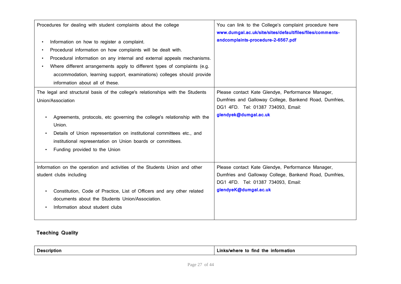| Procedures for dealing with student complaints about the college<br>Information on how to register a complaint.<br>Procedural information on how complaints will be dealt with.<br>$\bullet$<br>Procedural information on any internal and external appeals mechanisms.<br>Where different arrangements apply to different types of complaints (e.g.<br>accommodation, learning support, examinations) colleges should provide<br>information about all of these. | You can link to the College's complaint procedure here<br>www.dumgal.ac.uk/site/sites/default/files/files/comments-<br>andcomplaints-procedure-2-6567.pdf                  |
|-------------------------------------------------------------------------------------------------------------------------------------------------------------------------------------------------------------------------------------------------------------------------------------------------------------------------------------------------------------------------------------------------------------------------------------------------------------------|----------------------------------------------------------------------------------------------------------------------------------------------------------------------------|
| The legal and structural basis of the college's relationships with the Students<br>Union/Association<br>Agreements, protocols, etc governing the college's relationship with the<br>Union.<br>Details of Union representation on institutional committees etc., and<br>institutional representation on Union boards or committees.<br>Funding provided to the Union                                                                                               | Please contact Kate Glendye, Performance Manager,<br>Dumfries and Galloway College, Bankend Road, Dumfries,<br>DG1 4FD. Tel: 01387 734093, Email:<br>glendyek@dumgal.ac.uk |
| Information on the operation and activities of the Students Union and other<br>student clubs including<br>Constitution, Code of Practice, List of Officers and any other related<br>documents about the Students Union/Association.<br>Information about student clubs                                                                                                                                                                                            | Please contact Kate Glendye, Performance Manager,<br>Dumfries and Galloway College, Bankend Road, Dumfries,<br>DG1 4FD. Tel: 01387 734093, Email:<br>glendyeK@dumgal.ac.uk |

## **Teaching Quality**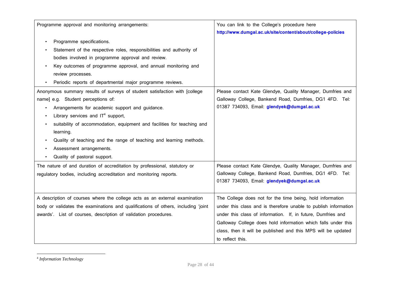| Programme approval and monitoring arrangements:                                   | You can link to the College's procedure here<br>http://www.dumgal.ac.uk/site/content/about/college-policies |
|-----------------------------------------------------------------------------------|-------------------------------------------------------------------------------------------------------------|
| Programme specifications.                                                         |                                                                                                             |
| Statement of the respective roles, responsibilities and authority of              |                                                                                                             |
| bodies involved in programme approval and review.                                 |                                                                                                             |
| Key outcomes of programme approval, and annual monitoring and                     |                                                                                                             |
| review processes.                                                                 |                                                                                                             |
| Periodic reports of departmental major programme reviews.                         |                                                                                                             |
| Anonymous summary results of surveys of student satisfaction with [college        | Please contact Kate Glendye, Quality Manager, Dumfries and                                                  |
| name] e.g. Student perceptions of:                                                | Galloway College, Bankend Road, Dumfries, DG1 4FD. Tel:                                                     |
| Arrangements for academic support and guidance.                                   | 01387 734093, Email: glendyek@dumgal.ac.uk                                                                  |
| Library services and $IT^4$ support,                                              |                                                                                                             |
| suitability of accommodation, equipment and facilities for teaching and           |                                                                                                             |
| learning.                                                                         |                                                                                                             |
| Quality of teaching and the range of teaching and learning methods.               |                                                                                                             |
| Assessment arrangements.                                                          |                                                                                                             |
| Quality of pastoral support.                                                      |                                                                                                             |
| The nature of and duration of accreditation by professional, statutory or         | Please contact Kate Glendye, Quality Manager, Dumfries and                                                  |
| regulatory bodies, including accreditation and monitoring reports.                | Galloway College, Bankend Road, Dumfries, DG1 4FD. Tel:                                                     |
|                                                                                   | 01387 734093, Email: glendyek@dumgal.ac.uk                                                                  |
|                                                                                   |                                                                                                             |
| A description of courses where the college acts as an external examination        | The College does not for the time being, hold information                                                   |
| body or validates the examinations and qualifications of others, including 'joint | under this class and is therefore unable to publish information                                             |
| awards'. List of courses, description of validation procedures.                   | under this class of information. If, in future, Dumfries and                                                |
|                                                                                   | Galloway College does hold information which falls under this                                               |
|                                                                                   | class, then it will be published and this MPS will be updated                                               |
|                                                                                   | to reflect this.                                                                                            |

<sup>4</sup> *Information Technology*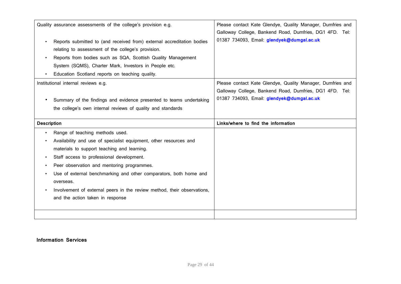| Reports submitted to (and received from) external accreditation bodies<br>relating to assessment of the college's provision.<br>Reports from bodies such as SQA, Scottish Quality Management<br>System (SQMS), Charter Mark, Investors in People etc.                                                                                                                                                                                           | Please contact Kate Glendye, Quality Manager, Dumfries and<br>Galloway College, Bankend Road, Dumfries, DG1 4FD. Tel:<br>01387 734093, Email: glendyek@dumgal.ac.uk |
|-------------------------------------------------------------------------------------------------------------------------------------------------------------------------------------------------------------------------------------------------------------------------------------------------------------------------------------------------------------------------------------------------------------------------------------------------|---------------------------------------------------------------------------------------------------------------------------------------------------------------------|
| Education Scotland reports on teaching quality.                                                                                                                                                                                                                                                                                                                                                                                                 |                                                                                                                                                                     |
| Summary of the findings and evidence presented to teams undertaking<br>the college's own internal reviews of quality and standards                                                                                                                                                                                                                                                                                                              | Please contact Kate Glendye, Quality Manager, Dumfries and<br>Galloway College, Bankend Road, Dumfries, DG1 4FD. Tel:<br>01387 734093, Email: glendyek@dumgal.ac.uk |
|                                                                                                                                                                                                                                                                                                                                                                                                                                                 | Links/where to find the information                                                                                                                                 |
| Range of teaching methods used.<br>Availability and use of specialist equipment, other resources and<br>materials to support teaching and learning.<br>Staff access to professional development.<br>Peer observation and mentoring programmes.<br>Use of external benchmarking and other comparators, both home and<br>overseas.<br>Involvement of external peers in the review method, their observations,<br>and the action taken in response |                                                                                                                                                                     |
|                                                                                                                                                                                                                                                                                                                                                                                                                                                 | Quality assurance assessments of the college's provision e.g.<br>Institutional internal reviews e.g.<br><b>Description</b>                                          |

## **Information Services**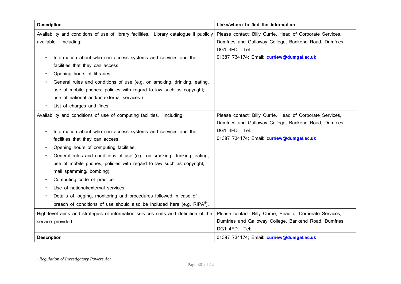| <b>Description</b>                                                                      | Links/where to find the information                       |
|-----------------------------------------------------------------------------------------|-----------------------------------------------------------|
| Availability and conditions of use of library facilities. Library catalogue if publicly | Please contact: Billy Currie, Head of Corporate Services, |
| available. Including:                                                                   | Dumfries and Galloway College, Bankend Road, Dumfries,    |
|                                                                                         | DG1 4FD. Tel:                                             |
| Information about who can access systems and services and the                           | 01387 734174; Email: curriew@dumgal.ac.uk                 |
| facilities that they can access.                                                        |                                                           |
| Opening hours of libraries.                                                             |                                                           |
| General rules and conditions of use (e.g. on smoking, drinking, eating,                 |                                                           |
| use of mobile phones; policies with regard to law such as copyright;                    |                                                           |
| use of national and/or external services.)                                              |                                                           |
| List of charges and fines                                                               |                                                           |
| Availability and conditions of use of computing facilities. Including:                  | Please contact: Billy Currie, Head of Corporate Services, |
|                                                                                         | Dumfries and Galloway College, Bankend Road, Dumfries,    |
| Information about who can access systems and services and the                           | DG1 4FD. Tel:                                             |
| facilities that they can access.                                                        | 01387 734174; Email: curriew@dumgal.ac.uk                 |
| Opening hours of computing facilities.                                                  |                                                           |
| General rules and conditions of use (e.g. on smoking, drinking, eating,                 |                                                           |
| use of mobile phones; policies with regard to law such as copyright;                    |                                                           |
| mail spamming/ bombing)                                                                 |                                                           |
| Computing code of practice.                                                             |                                                           |
| Use of national/external services.                                                      |                                                           |
| Details of logging, monitoring and procedures followed in case of                       |                                                           |
| breach of conditions of use should also be included here (e.g. RIPA <sup>5</sup> ).     |                                                           |
| High-level aims and strategies of information services units and definition of the      | Please contact: Billy Currie, Head of Corporate Services, |
| service provided.                                                                       | Dumfries and Galloway College, Bankend Road, Dumfries,    |
|                                                                                         | DG1 4FD. Tel:                                             |
| <b>Description</b>                                                                      | 01387 734174; Email: curriew@dumgal.ac.uk                 |

<sup>5</sup> *Regulation of Investigatory Powers Act*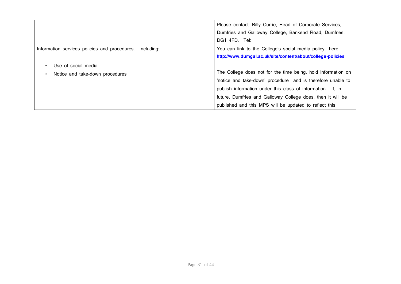|                                                          | Please contact: Billy Currie, Head of Corporate Services,<br>Dumfries and Galloway College, Bankend Road, Dumfries,<br>DG1 4FD. Tel: |
|----------------------------------------------------------|--------------------------------------------------------------------------------------------------------------------------------------|
| Information services policies and procedures. Including: | You can link to the College's social media policy here<br>http://www.dumgal.ac.uk/site/content/about/college-policies                |
| Use of social media<br>$\bullet$                         |                                                                                                                                      |
| Notice and take-down procedures<br>$\bullet$             | The College does not for the time being, hold information on                                                                         |
|                                                          | 'notice and take-down' procedure and is therefore unable to                                                                          |
|                                                          | publish information under this class of information. If, in                                                                          |
|                                                          | future, Dumfries and Galloway College does, then it will be                                                                          |
|                                                          | published and this MPS will be updated to reflect this.                                                                              |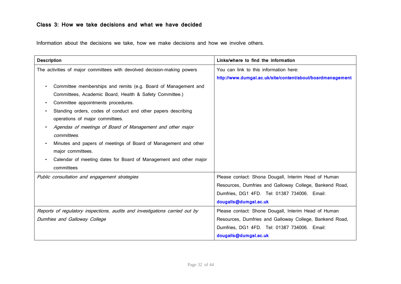## **Class 3: How we take decisions and what we have decided**

Information about the decisions we take, how we make decisions and how we involve others.

| <b>Description</b>                                                          | Links/where to find the information                        |
|-----------------------------------------------------------------------------|------------------------------------------------------------|
| The activities of major committees with devolved decision-making powers     | You can link to this information here:                     |
|                                                                             | http://www.dumgal.ac.uk/site/content/about/boardmanagement |
| Committee memberships and remits (e.g. Board of Management and              |                                                            |
| Committees, Academic Board, Health & Safety Committee.)                     |                                                            |
| Committee appointments procedures.<br>$\bullet$                             |                                                            |
| Standing orders, codes of conduct and other papers describing               |                                                            |
| operations of major committees.                                             |                                                            |
| Agendas of meetings of Board of Management and other major                  |                                                            |
| committees.                                                                 |                                                            |
| Minutes and papers of meetings of Board of Management and other             |                                                            |
| major committees.                                                           |                                                            |
| Calendar of meeting dates for Board of Management and other major           |                                                            |
| committees                                                                  |                                                            |
| Public consultation and engagement strategies                               | Please contact: Shona Dougall, Interim Head of Human       |
|                                                                             | Resources, Dumfries and Galloway College, Bankend Road,    |
|                                                                             | Dumfries, DG1 4FD. Tel: 01387 734006. Email:               |
|                                                                             | dougalls@dumgal.ac.uk                                      |
| Reports of regulatory inspections, audits and investigations carried out by | Please contact: Shone Dougall, Interim Head of Human       |
| Dumfries and Galloway College                                               | Resources, Dumfries and Galloway College, Bankend Road,    |
|                                                                             | Dumfries, DG1 4FD. Tel: 01387 734006. Email:               |
|                                                                             | dougalls@dumgal.ac.uk                                      |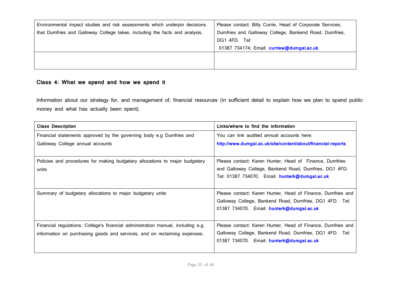| Environmental impact studies and risk assessments which underpin decisions  | Please contact: Billy Currie, Head of Corporate Services, |
|-----------------------------------------------------------------------------|-----------------------------------------------------------|
| that Dumfries and Galloway College takes, including the facts and analysis. | Dumfries and Galloway College, Bankend Road, Dumfries,    |
|                                                                             | DG1 4FD. Tel:                                             |
|                                                                             | 01387 734174; Email: curriew@dumgal.ac.uk                 |
|                                                                             |                                                           |
|                                                                             |                                                           |

## **Class 4: What we spend and how we spend it**

Information about our strategy for, and management of, financial resources (in sufficient detail to explain how we plan to spend public money and what has actually been spent).

| <b>Class Description</b>                                                         | Links/where to find the information                          |
|----------------------------------------------------------------------------------|--------------------------------------------------------------|
| Financial statements approved by the governing body e.g Dumfries and             | You can link audited annual accounts here:                   |
| Galloway College annual accounts                                                 | http://www.dumgal.ac.uk/site/content/about/financial-reports |
|                                                                                  |                                                              |
| Policies and procedures for making budgetary allocations to major budgetary      | Please contact: Karen Hunter, Head of Finance, Dumfries      |
| units                                                                            | and Galloway College, Bankend Road, Dumfries, DG1 4FD.       |
|                                                                                  | Tel: 01387 734070. Email: hunterk@dumgal.ac.uk               |
|                                                                                  |                                                              |
| Summary of budgetary allocations to major budgetary units                        | Please contact: Karen Hunter, Head of Finance, Dumfries and  |
|                                                                                  | Galloway College, Bankend Road, Dumfries, DG1 4FD. Tel:      |
|                                                                                  | 01387 734070. Email: hunterk@dumgal.ac.uk                    |
|                                                                                  |                                                              |
| Financial regulations: College's financial administration manual, including e.g. | Please contact: Karen Hunter, Head of Finance, Dumfries and  |
| information on purchasing goods and services, and on reclaiming expenses.        | Galloway College, Bankend Road, Dumfries, DG1 4FD. Tel:      |
|                                                                                  | 01387 734070. Email: hunterk@dumgal.ac.uk                    |
|                                                                                  |                                                              |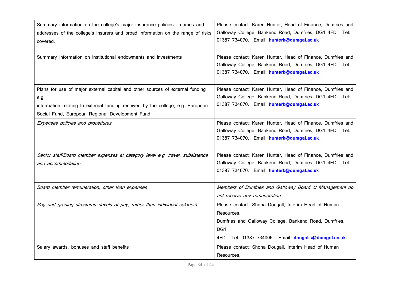| Summary information on the college's major insurance policies - names and<br>addresses of the college's insurers and broad information on the range of risks<br>covered.                                                    | Please contact: Karen Hunter, Head of Finance, Dumfries and<br>Galloway College, Bankend Road, Dumfries, DG1 4FD. Tel:<br>01387 734070. Email: hunterk@dumgal.ac.uk                                     |
|-----------------------------------------------------------------------------------------------------------------------------------------------------------------------------------------------------------------------------|---------------------------------------------------------------------------------------------------------------------------------------------------------------------------------------------------------|
| Summary information on institutional endowments and investments                                                                                                                                                             | Please contact: Karen Hunter, Head of Finance, Dumfries and<br>Galloway College, Bankend Road, Dumfries, DG1 4FD. Tel:<br>01387 734070. Email: hunterk@dumgal.ac.uk                                     |
| Plans for use of major external capital and other sources of external funding<br>e.g.<br>information relating to external funding received by the college, e.g. European<br>Social Fund, European Regional Development Fund | Please contact: Karen Hunter, Head of Finance, Dumfries and<br>Galloway College, Bankend Road, Dumfries, DG1 4FD. Tel:<br>01387 734070. Email: hunterk@dumgal.ac.uk                                     |
| Expenses policies and procedures                                                                                                                                                                                            | Please contact: Karen Hunter, Head of Finance, Dumfries and<br>Galloway College, Bankend Road, Dumfries, DG1 4FD. Tel:<br>01387 734070. Email: hunterk@dumgal.ac.uk                                     |
| Senior staff/Board member expenses at category level e.g. travel, subsistence<br>and accommodation                                                                                                                          | Please contact: Karen Hunter, Head of Finance, Dumfries and<br>Galloway College, Bankend Road, Dumfries, DG1 4FD. Tel:<br>01387 734070. Email: hunterk@dumgal.ac.uk                                     |
| Board member remuneration, other than expenses                                                                                                                                                                              | Members of Dumfries and Galloway Board of Management do<br>not receive any remuneration.                                                                                                                |
| Pay and grading structures (levels of pay, rather than individual salaries)                                                                                                                                                 | Please contact: Shona Dougall, Interim Head of Human<br>Resources,<br>Dumfries and Galloway College, Bankend Road, Dumfries,<br>DG <sub>1</sub><br>4FD. Tel: 01387 734006. Email: dougalls@dumgal.ac.uk |
| Salary awards, bonuses and staff benefits                                                                                                                                                                                   | Please contact: Shona Dougall, Interim Head of Human<br>Resources,                                                                                                                                      |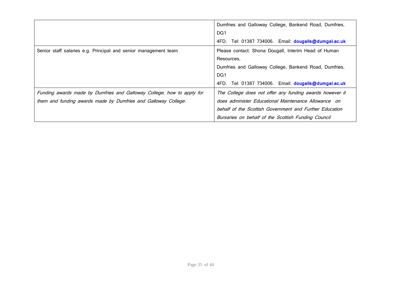|                                                                        | Dumfries and Galloway College, Bankend Road, Dumfries,   |
|------------------------------------------------------------------------|----------------------------------------------------------|
|                                                                        | DG1                                                      |
|                                                                        | 4FD. Tel: 01387 734006. Email: dougalls@dumgal.ac.uk     |
| Senior staff salaries e.g. Principal and senior management team        | Please contact: Shona Dougall, Interim Head of Human     |
|                                                                        | Resources,                                               |
|                                                                        | Dumfries and Galloway College, Bankend Road, Dumfries,   |
|                                                                        | DG <sub>1</sub>                                          |
|                                                                        | Tel: 01387 734006. Email: dougalls@dumgal.ac.uk<br>4FD.  |
| Funding awards made by Dumfries and Galloway College, how to apply for | The College does not offer any funding awards however it |
| them and funding awards made by Dumfries and Galloway College.         | does administer Educational Maintenance Allowance on     |
|                                                                        | behalf of the Scottish Government and Further Education  |
|                                                                        | Bursaries on behalf of the Scottish Funding Council      |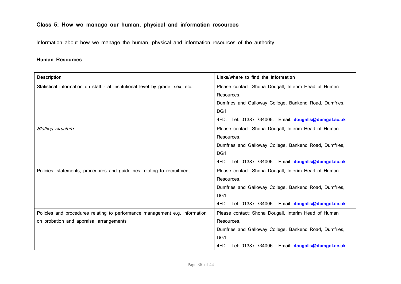## **Class 5: How we manage our human, physical and information resources**

Information about how we manage the human, physical and information resources of the authority.

### **Human Resources**

| <b>Description</b>                                                            | Links/where to find the information                    |
|-------------------------------------------------------------------------------|--------------------------------------------------------|
| Statistical information on staff - at institutional level by grade, sex, etc. | Please contact: Shona Dougall, Interim Head of Human   |
|                                                                               | Resources,                                             |
|                                                                               | Dumfries and Galloway College, Bankend Road, Dumfries, |
|                                                                               | DG1                                                    |
|                                                                               | 4FD. Tel: 01387 734006. Email: dougalls@dumgal.ac.uk   |
| Staffing structure                                                            | Please contact: Shona Dougall, Interim Head of Human   |
|                                                                               | Resources,                                             |
|                                                                               | Dumfries and Galloway College, Bankend Road, Dumfries, |
|                                                                               | DG1                                                    |
|                                                                               | 4FD. Tel: 01387 734006. Email: dougalls@dumgal.ac.uk   |
| Policies, statements, procedures and guidelines relating to recruitment       | Please contact: Shona Dougall, Interim Head of Human   |
|                                                                               | Resources,                                             |
|                                                                               | Dumfries and Galloway College, Bankend Road, Dumfries, |
|                                                                               | DG1                                                    |
|                                                                               | 4FD. Tel: 01387 734006. Email: dougalls@dumgal.ac.uk   |
| Policies and procedures relating to performance management e.g. information   | Please contact: Shona Dougall, Interim Head of Human   |
| on probation and appraisal arrangements                                       | Resources,                                             |
|                                                                               | Dumfries and Galloway College, Bankend Road, Dumfries, |
|                                                                               | DG <sub>1</sub>                                        |
|                                                                               | 4FD. Tel: 01387 734006. Email: dougalls@dumgal.ac.uk   |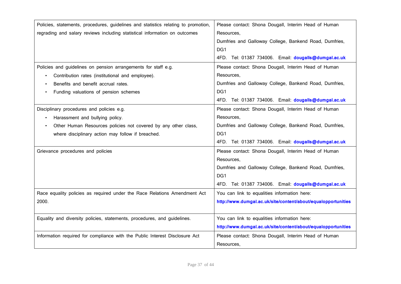| Policies, statements, procedures, guidelines and statistics relating to promotion, | Please contact: Shona Dougall, Interim Head of Human          |
|------------------------------------------------------------------------------------|---------------------------------------------------------------|
| regrading and salary reviews including statistical information on outcomes         | Resources,                                                    |
|                                                                                    | Dumfries and Galloway College, Bankend Road, Dumfries,        |
|                                                                                    | DG1                                                           |
|                                                                                    | 4FD. Tel: 01387 734006. Email: dougalls@dumgal.ac.uk          |
| Policies and guidelines on pension arrangements for staff e.g.                     | Please contact: Shona Dougall, Interim Head of Human          |
| Contribution rates (institutional and employee).                                   | Resources.                                                    |
| Benefits and benefit accrual rates.                                                | Dumfries and Galloway College, Bankend Road, Dumfries,        |
| Funding valuations of pension schemes                                              | DG1                                                           |
|                                                                                    | 4FD. Tel: 01387 734006. Email: dougalls@dumgal.ac.uk          |
| Disciplinary procedures and policies e.g.                                          | Please contact: Shona Dougall, Interim Head of Human          |
| Harassment and bullying policy.                                                    | Resources,                                                    |
| Other Human Resources policies not covered by any other class,                     | Dumfries and Galloway College, Bankend Road, Dumfries,        |
| where disciplinary action may follow if breached.                                  | DG1                                                           |
|                                                                                    | 4FD. Tel: 01387 734006. Email: dougalls@dumgal.ac.uk          |
| Grievance procedures and policies                                                  | Please contact: Shona Dougall, Interim Head of Human          |
|                                                                                    | Resources.                                                    |
|                                                                                    | Dumfries and Galloway College, Bankend Road, Dumfries,        |
|                                                                                    | DG1                                                           |
|                                                                                    | 4FD. Tel: 01387 734006. Email: dougalls@dumgal.ac.uk          |
| Race equality policies as required under the Race Relations Amendment Act          | You can link to equalities information here:                  |
| 2000.                                                                              | http://www.dumgal.ac.uk/site/content/about/equalopportunities |
|                                                                                    |                                                               |
| Equality and diversity policies, statements, procedures, and guidelines.           | You can link to equalities information here:                  |
|                                                                                    | http://www.dumgal.ac.uk/site/content/about/equalopportunities |
| Information required for compliance with the Public Interest Disclosure Act        | Please contact: Shona Dougall, Interim Head of Human          |
|                                                                                    | Resources,                                                    |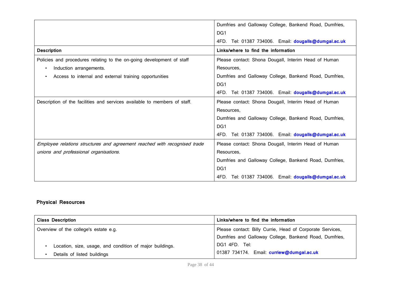|                                                                           | Dumfries and Galloway College, Bankend Road, Dumfries,  |
|---------------------------------------------------------------------------|---------------------------------------------------------|
|                                                                           | DG1                                                     |
|                                                                           | Tel: 01387 734006. Email: dougalls@dumgal.ac.uk<br>4FD. |
| <b>Description</b>                                                        | Links/where to find the information                     |
| Policies and procedures relating to the on-going development of staff     | Please contact: Shona Dougall, Interim Head of Human    |
| Induction arrangements.<br>$\bullet$                                      | Resources.                                              |
| Access to internal and external training opportunities                    | Dumfries and Galloway College, Bankend Road, Dumfries,  |
|                                                                           | DG1                                                     |
|                                                                           | 4FD. Tel: 01387 734006. Email: dougalls@dumgal.ac.uk    |
| Description of the facilities and services available to members of staff. | Please contact: Shona Dougall, Interim Head of Human    |
|                                                                           | Resources,                                              |
|                                                                           | Dumfries and Galloway College, Bankend Road, Dumfries,  |
|                                                                           | DG <sub>1</sub>                                         |
|                                                                           | 4FD. Tel: 01387 734006. Email: dougalls@dumgal.ac.uk    |
| Employee relations structures and agreement reached with recognised trade | Please contact: Shona Dougall, Interim Head of Human    |
| unions and professional organisations.                                    | Resources,                                              |
|                                                                           | Dumfries and Galloway College, Bankend Road, Dumfries,  |
|                                                                           | DG1                                                     |
|                                                                           | Tel: 01387 734006. Email: dougalls@dumgal.ac.uk<br>4FD. |

## **Physical Resources**

| <b>Class Description</b>                                 | Links/where to find the information                       |
|----------------------------------------------------------|-----------------------------------------------------------|
| Overview of the college's estate e.g.                    | Please contact: Billy Currie, Head of Corporate Services, |
|                                                          | Dumfries and Galloway College, Bankend Road, Dumfries,    |
| Location, size, usage, and condition of major buildings. | DG1 4FD. Tel:                                             |
| Details of listed buildings                              | 01387 734174. Email: curriew@dumgal.ac.uk                 |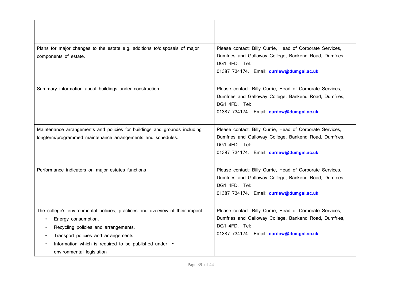| Plans for major changes to the estate e.g. additions to/disposals of major<br>components of estate.                                                                                                                                                                       | Please contact: Billy Currie, Head of Corporate Services,<br>Dumfries and Galloway College, Bankend Road, Dumfries,<br>DG1 4FD. Tel:<br>01387 734174. Email: curriew@dumgal.ac.uk |
|---------------------------------------------------------------------------------------------------------------------------------------------------------------------------------------------------------------------------------------------------------------------------|-----------------------------------------------------------------------------------------------------------------------------------------------------------------------------------|
| Summary information about buildings under construction                                                                                                                                                                                                                    | Please contact: Billy Currie, Head of Corporate Services,<br>Dumfries and Galloway College, Bankend Road, Dumfries,<br>DG1 4FD. Tel:<br>01387 734174. Email: curriew@dumgal.ac.uk |
| Maintenance arrangements and policies for buildings and grounds including<br>longterm/programmed maintenance arrangements and schedules.                                                                                                                                  | Please contact: Billy Currie, Head of Corporate Services,<br>Dumfries and Galloway College, Bankend Road, Dumfries,<br>DG1 4FD. Tel:<br>01387 734174. Email: curriew@dumgal.ac.uk |
| Performance indicators on major estates functions                                                                                                                                                                                                                         | Please contact: Billy Currie, Head of Corporate Services,<br>Dumfries and Galloway College, Bankend Road, Dumfries,<br>DG1 4FD. Tel:<br>01387 734174. Email: curriew@dumgal.ac.uk |
| The college's environmental policies, practices and overview of their impact<br>Energy consumption.<br>Recycling policies and arrangements.<br>Transport policies and arrangements.<br>Information which is required to be published under .<br>environmental legislation | Please contact: Billy Currie, Head of Corporate Services,<br>Dumfries and Galloway College, Bankend Road, Dumfries,<br>DG1 4FD. Tel:<br>01387 734174. Email: curriew@dumgal.ac.uk |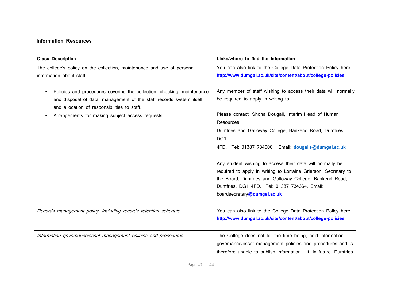## **Information Resources**

| <b>Class Description</b>                                                                                                                                                                                                                                        | Links/where to find the information                                                                                                                                                                                                                                                                  |
|-----------------------------------------------------------------------------------------------------------------------------------------------------------------------------------------------------------------------------------------------------------------|------------------------------------------------------------------------------------------------------------------------------------------------------------------------------------------------------------------------------------------------------------------------------------------------------|
| The college's policy on the collection, maintenance and use of personal                                                                                                                                                                                         | You can also link to the College Data Protection Policy here                                                                                                                                                                                                                                         |
| information about staff.                                                                                                                                                                                                                                        | http://www.dumgal.ac.uk/site/content/about/college-policies                                                                                                                                                                                                                                          |
| Policies and procedures covering the collection, checking, maintenance<br>$\bullet$<br>and disposal of data, management of the staff records system itself,<br>and allocation of responsibilities to staff.<br>Arrangements for making subject access requests. | Any member of staff wishing to access their data will normally<br>be required to apply in writing to.<br>Please contact: Shona Dougall, Interim Head of Human<br>Resources,<br>Dumfries and Galloway College, Bankend Road, Dumfries,<br>DG1<br>4FD. Tel: 01387 734006. Email: dougalls@dumgal.ac.uk |
|                                                                                                                                                                                                                                                                 | Any student wishing to access their data will normally be<br>required to apply in writing to Lorraine Grierson, Secretary to<br>the Board, Dumfries and Galloway College, Bankend Road,<br>Dumfries, DG1 4FD. Tel: 01387 734364, Email:<br>boardsecretary@dumgal.ac.uk                               |
| Records management policy, including records retention schedule.                                                                                                                                                                                                | You can also link to the College Data Protection Policy here<br>http://www.dumgal.ac.uk/site/content/about/college-policies                                                                                                                                                                          |
| Information governance/asset management policies and procedures.                                                                                                                                                                                                | The College does not for the time being, hold information<br>governance/asset management policies and procedures and is<br>therefore unable to publish information. If, in future, Dumfries                                                                                                          |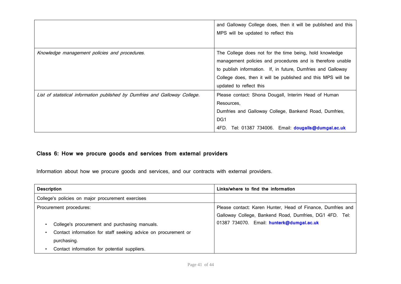|                                                                             | and Galloway College does, then it will be published and this<br>MPS will be updated to reflect this                                                                                                                                                                             |
|-----------------------------------------------------------------------------|----------------------------------------------------------------------------------------------------------------------------------------------------------------------------------------------------------------------------------------------------------------------------------|
| Knowledge management policies and procedures.                               | The College does not for the time being, hold knowledge<br>management policies and procedures and is therefore unable<br>to publish information. If, in future, Dumfries and Galloway<br>College does, then it will be published and this MPS will be<br>updated to reflect this |
| List of statistical information published by Dumfries and Galloway College. | Please contact: Shona Dougall, Interim Head of Human<br>Resources,<br>Dumfries and Galloway College, Bankend Road, Dumfries,<br>DG <sub>1</sub><br>Tel: 01387 734006. Email: dougalls@dumgal.ac.uk<br>4FD.                                                                       |

## **Class 6: How we procure goods and services from external providers**

Information about how we procure goods and services, and our contracts with external providers.

| <b>Description</b>                                                                                                                         | Links/where to find the information                                                                                                                                 |
|--------------------------------------------------------------------------------------------------------------------------------------------|---------------------------------------------------------------------------------------------------------------------------------------------------------------------|
| College's policies on major procurement exercises                                                                                          |                                                                                                                                                                     |
| Procurement procedures:<br>College's procurement and purchasing manuals.<br>Contact information for staff seeking advice on procurement or | Please contact: Karen Hunter, Head of Finance, Dumfries and<br>Galloway College, Bankend Road, Dumfries, DG1 4FD. Tel:<br>01387 734070. Email: hunterk@dumgal.ac.uk |
| purchasing.<br>Contact information for potential suppliers.                                                                                |                                                                                                                                                                     |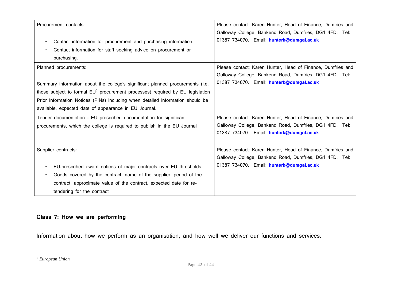| Procurement contacts:                                                                     | Please contact: Karen Hunter, Head of Finance, Dumfries and<br>Galloway College, Bankend Road, Dumfries, DG1 4FD. Tel: |
|-------------------------------------------------------------------------------------------|------------------------------------------------------------------------------------------------------------------------|
| Contact information for procurement and purchasing information.<br>$\bullet$              | 01387 734070. Email: hunterk@dumgal.ac.uk                                                                              |
| Contact information for staff seeking advice on procurement or<br>$\bullet$               |                                                                                                                        |
| purchasing.                                                                               |                                                                                                                        |
| Planned procurements:                                                                     | Please contact: Karen Hunter, Head of Finance, Dumfries and                                                            |
|                                                                                           | Galloway College, Bankend Road, Dumfries, DG1 4FD. Tel:                                                                |
| Summary information about the college's significant planned procurements (i.e.            | 01387 734070. Email: hunterk@dumgal.ac.uk                                                                              |
| those subject to formal EU <sup>6</sup> procurement processes) required by EU legislation |                                                                                                                        |
| Prior Information Notices (PINs) including when detailed information should be            |                                                                                                                        |
| available, expected date of appearance in EU Journal.                                     |                                                                                                                        |
| Tender documentation - EU prescribed documentation for significant                        | Please contact: Karen Hunter, Head of Finance, Dumfries and                                                            |
| procurements, which the college is required to publish in the EU Journal                  | Galloway College, Bankend Road, Dumfries, DG1 4FD. Tel:                                                                |
|                                                                                           | 01387 734070. Email: hunterk@dumgal.ac.uk                                                                              |
|                                                                                           |                                                                                                                        |
| Supplier contracts:                                                                       | Please contact: Karen Hunter, Head of Finance, Dumfries and                                                            |
|                                                                                           | Galloway College, Bankend Road, Dumfries, DG1 4FD. Tel:                                                                |
| EU-prescribed award notices of major contracts over EU thresholds<br>$\bullet$            | 01387 734070. Email: hunterk@dumgal.ac.uk                                                                              |
| Goods covered by the contract, name of the supplier, period of the                        |                                                                                                                        |
| contract, approximate value of the contract, expected date for re-                        |                                                                                                                        |
| tendering for the contract                                                                |                                                                                                                        |

## **Class 7: How we are performing**

Information about how we perform as an organisation, and how well we deliver our functions and services.

<sup>6</sup> *European Union*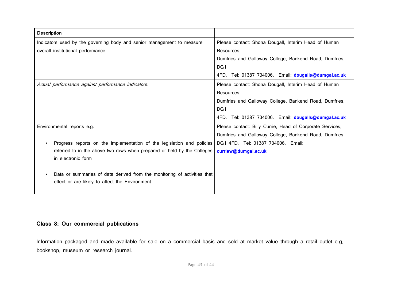| <b>Description</b>                                                       |                                                           |
|--------------------------------------------------------------------------|-----------------------------------------------------------|
| Indicators used by the governing body and senior management to measure   | Please contact: Shona Dougall, Interim Head of Human      |
| overall institutional performance                                        | Resources.                                                |
|                                                                          | Dumfries and Galloway College, Bankend Road, Dumfries,    |
|                                                                          | DG <sub>1</sub>                                           |
|                                                                          | 4FD. Tel: 01387 734006. Email: dougalls@dumgal.ac.uk      |
| Actual performance against performance indicators.                       | Please contact: Shona Dougall, Interim Head of Human      |
|                                                                          | Resources,                                                |
|                                                                          | Dumfries and Galloway College, Bankend Road, Dumfries,    |
|                                                                          | DG <sub>1</sub>                                           |
|                                                                          | 4FD. Tel: 01387 734006. Email: dougalls@dumgal.ac.uk      |
| Environmental reports e.g.                                               | Please contact: Billy Currie, Head of Corporate Services, |
|                                                                          | Dumfries and Galloway College, Bankend Road, Dumfries,    |
| Progress reports on the implementation of the legislation and policies   | DG1 4FD. Tel: 01387 734006. Email:                        |
| referred to in the above two rows when prepared or held by the Colleges  | curriew@dumgal.ac.uk                                      |
| in electronic form                                                       |                                                           |
|                                                                          |                                                           |
| Data or summaries of data derived from the monitoring of activities that |                                                           |
| effect or are likely to affect the Environment                           |                                                           |
|                                                                          |                                                           |

## **Class 8: Our commercial publications**

Information packaged and made available for sale on a commercial basis and sold at market value through a retail outlet e.g, bookshop, museum or research journal.